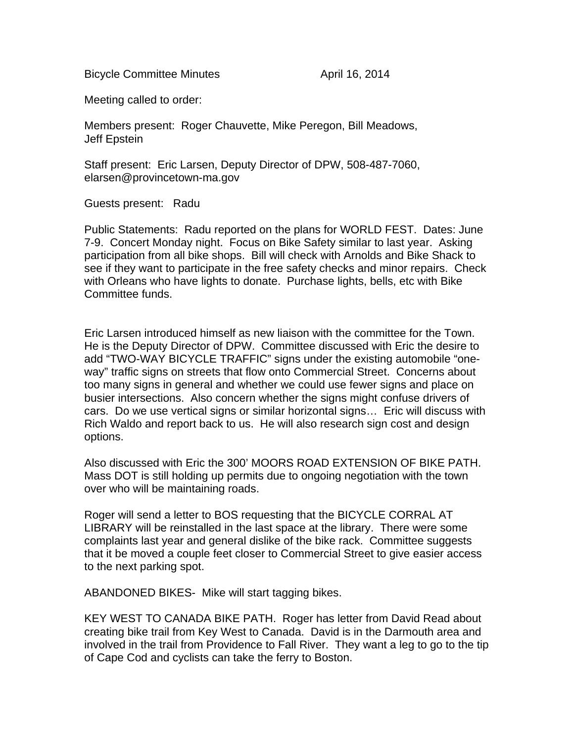Bicycle Committee Minutes **April 16, 2014** 

Meeting called to order:

Members present: Roger Chauvette, Mike Peregon, Bill Meadows, Jeff Epstein

Staff present: Eric Larsen, Deputy Director of DPW, 508-487-7060, elarsen@provincetown-ma.gov

Guests present: Radu

Public Statements: Radu reported on the plans for WORLD FEST. Dates: June 7-9. Concert Monday night. Focus on Bike Safety similar to last year. Asking participation from all bike shops. Bill will check with Arnolds and Bike Shack to see if they want to participate in the free safety checks and minor repairs. Check with Orleans who have lights to donate. Purchase lights, bells, etc with Bike Committee funds.

Eric Larsen introduced himself as new liaison with the committee for the Town. He is the Deputy Director of DPW. Committee discussed with Eric the desire to add "TWO-WAY BICYCLE TRAFFIC" signs under the existing automobile "oneway" traffic signs on streets that flow onto Commercial Street. Concerns about too many signs in general and whether we could use fewer signs and place on busier intersections. Also concern whether the signs might confuse drivers of cars. Do we use vertical signs or similar horizontal signs… Eric will discuss with Rich Waldo and report back to us. He will also research sign cost and design options.

Also discussed with Eric the 300' MOORS ROAD EXTENSION OF BIKE PATH. Mass DOT is still holding up permits due to ongoing negotiation with the town over who will be maintaining roads.

Roger will send a letter to BOS requesting that the BICYCLE CORRAL AT LIBRARY will be reinstalled in the last space at the library. There were some complaints last year and general dislike of the bike rack. Committee suggests that it be moved a couple feet closer to Commercial Street to give easier access to the next parking spot.

ABANDONED BIKES- Mike will start tagging bikes.

KEY WEST TO CANADA BIKE PATH. Roger has letter from David Read about creating bike trail from Key West to Canada. David is in the Darmouth area and involved in the trail from Providence to Fall River. They want a leg to go to the tip of Cape Cod and cyclists can take the ferry to Boston.